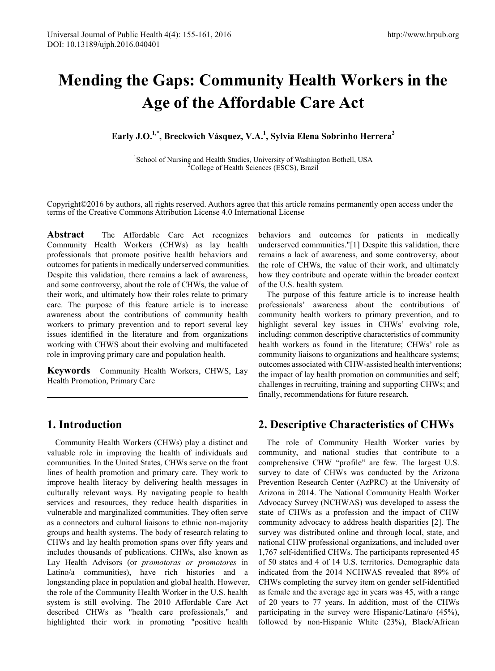# **Mending the Gaps: Community Health Workers in the Age of the Affordable Care Act**

**Early J.O.1,\*, Breckwich Vásquez, V.A. 1 , Sylvia Elena Sobrinho Herrera<sup>2</sup>**

<sup>1</sup>School of Nursing and Health Studies, University of Washington Bothell, USA  ${}^{2}$ College of Health Sciences (ESCS), Brazil <sup>2</sup>College of Health Sciences (ESCS), Brazil

Copyright©2016 by authors, all rights reserved. Authors agree that this article remains permanently open access under the terms of the Creative Commons Attribution License 4.0 International License

**Abstract** The Affordable Care Act recognizes Community Health Workers (CHWs) as lay health professionals that promote positive health behaviors and outcomes for patients in medically underserved communities. Despite this validation, there remains a lack of awareness, and some controversy, about the role of CHWs, the value of their work, and ultimately how their roles relate to primary care. The purpose of this feature article is to increase awareness about the contributions of community health workers to primary prevention and to report several key issues identified in the literature and from organizations working with CHWS about their evolving and multifaceted role in improving primary care and population health.

**Keywords** Community Health Workers, CHWS, Lay Health Promotion, Primary Care

## **1. Introduction**

Community Health Workers (CHWs) play a distinct and valuable role in improving the health of individuals and communities. In the United States, CHWs serve on the front lines of health promotion and primary care. They work to improve health literacy by delivering health messages in culturally relevant ways. By navigating people to health services and resources, they reduce health disparities in vulnerable and marginalized communities. They often serve as a connectors and cultural liaisons to ethnic non-majority groups and health systems. The body of research relating to CHWs and lay health promotion spans over fifty years and includes thousands of publications. CHWs, also known as Lay Health Advisors (or *promotoras or promotores* in Latino/a communities), have rich histories and a longstanding place in population and global health. However, the role of the Community Health Worker in the U.S. health system is still evolving. The 2010 Affordable Care Act described CHWs as "health care professionals," and highlighted their work in promoting "positive health

behaviors and outcomes for patients in medically underserved communities."[1] Despite this validation, there remains a lack of awareness, and some controversy, about the role of CHWs, the value of their work, and ultimately how they contribute and operate within the broader context of the U.S. health system.

The purpose of this feature article is to increase health professionals' awareness about the contributions of community health workers to primary prevention, and to highlight several key issues in CHWs' evolving role, including: common descriptive characteristics of community health workers as found in the literature; CHWs' role as community liaisons to organizations and healthcare systems; outcomes associated with CHW-assisted health interventions; the impact of lay health promotion on communities and self; challenges in recruiting, training and supporting CHWs; and finally, recommendations for future research.

## **2. Descriptive Characteristics of CHWs**

The role of Community Health Worker varies by community, and national studies that contribute to a comprehensive CHW "profile" are few. The largest U.S. survey to date of CHWs was conducted by the Arizona Prevention Research Center (AzPRC) at the University of Arizona in 2014. The National Community Health Worker Advocacy Survey (NCHWAS) was developed to assess the state of CHWs as a profession and the impact of CHW community advocacy to address health disparities [2]. The survey was distributed online and through local, state, and national CHW professional organizations, and included over 1,767 self-identified CHWs. The participants represented 45 of 50 states and 4 of 14 U.S. territories. Demographic data indicated from the 2014 NCHWAS revealed that 89% of CHWs completing the survey item on gender self-identified as female and the average age in years was 45, with a range of 20 years to 77 years. In addition, most of the CHWs participating in the survey were Hispanic/Latina/o (45%), followed by non-Hispanic White (23%), Black/African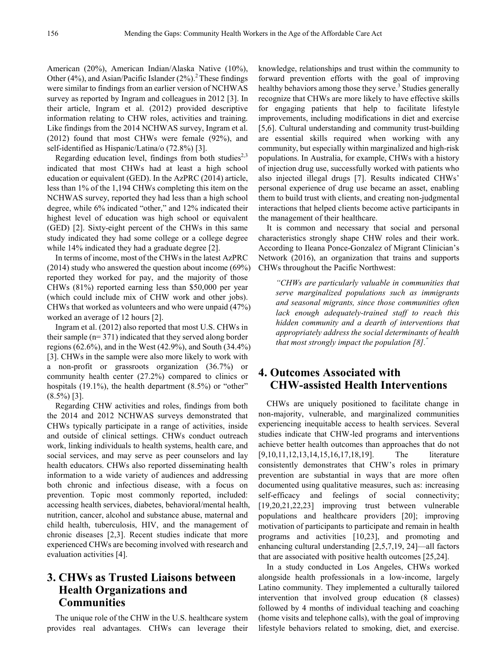American (20%), American Indian/Alaska Native (10%), Other (4%), and Asian/Pacific Islander  $(2\%)$ .<sup>2</sup> These findings were similar to findings from an earlier version of NCHWAS survey as reported by Ingram and colleagues in 2012 [3]. In their article, Ingram et al. (2012) provided descriptive information relating to CHW roles, activities and training. Like findings from the 2014 NCHWAS survey, Ingram et al. (2012) found that most CHWs were female (92%), and self-identified as Hispanic/Latina/o (72.8%) [3].

Regarding education level, findings from both studies<sup>2,3</sup> indicated that most CHWs had at least a high school education or equivalent (GED). In the AzPRC (2014) article, less than 1% of the 1,194 CHWs completing this item on the NCHWAS survey, reported they had less than a high school degree, while 6% indicated "other," and 12% indicated their highest level of education was high school or equivalent (GED) [2]. Sixty-eight percent of the CHWs in this same study indicated they had some college or a college degree while 14% indicated they had a graduate degree [2].

In terms of income, most of the CHWs in the latest AzPRC (2014) study who answered the question about income (69%) reported they worked for pay, and the majority of those CHWs (81%) reported earning less than \$50,000 per year (which could include mix of CHW work and other jobs). CHWs that worked as volunteers and who were unpaid (47%) worked an average of 12 hours [2].

Ingram et al. (2012) also reported that most U.S. CHWs in their sample (n= 371) indicated that they served along border regions (62.6%), and in the West (42.9%), and South (34.4%) [3]. CHWs in the sample were also more likely to work with a non-profit or grassroots organization (36.7%) or community health center (27.2%) compared to clinics or hospitals (19.1%), the health department (8.5%) or "other"  $(8.5\%)$  [3].

Regarding CHW activities and roles, findings from both the 2014 and 2012 NCHWAS surveys demonstrated that CHWs typically participate in a range of activities, inside and outside of clinical settings. CHWs conduct outreach work, linking individuals to health systems, health care, and social services, and may serve as peer counselors and lay health educators. CHWs also reported disseminating health information to a wide variety of audiences and addressing both chronic and infectious disease, with a focus on prevention. Topic most commonly reported, included: accessing health services, diabetes, behavioral/mental health, nutrition, cancer, alcohol and substance abuse, maternal and child health, tuberculosis, HIV, and the management of chronic diseases [2,3]. Recent studies indicate that more experienced CHWs are becoming involved with research and evaluation activities [4].

# **3. CHWs as Trusted Liaisons between Health Organizations and Communities**

The unique role of the CHW in the U.S. healthcare system provides real advantages. CHWs can leverage their

knowledge, relationships and trust within the community to forward prevention efforts with the goal of improving healthy behaviors among those they serve.<sup>3</sup> Studies generally recognize that CHWs are more likely to have effective skills for engaging patients that help to facilitate lifestyle improvements, including modifications in diet and exercise [5,6]. Cultural understanding and community trust-building are essential skills required when working with any community, but especially within marginalized and high-risk populations. In Australia, for example, CHWs with a history of injection drug use, successfully worked with patients who also injected illegal drugs [7]. Results indicated CHWs' personal experience of drug use became an asset, enabling them to build trust with clients, and creating non-judgmental interactions that helped clients become active participants in the management of their healthcare.

It is common and necessary that social and personal characteristics strongly shape CHW roles and their work. According to Ileana Ponce-Gonzalez of Migrant Clinician's Network (2016), an organization that trains and supports CHWs throughout the Pacific Northwest:

*"CHWs are particularly valuable in communities that serve marginalized populations such as immigrants and seasonal migrants, since those communities often lack enough adequately-trained staff to reach this hidden community and a dearth of interventions that appropriately address the social determinants of health that most strongly impact the population [8]."*

# **4. Outcomes Associated with CHW-assisted Health Interventions**

CHWs are uniquely positioned to facilitate change in non-majority, vulnerable, and marginalized communities experiencing inequitable access to health services. Several studies indicate that CHW-led programs and interventions achieve better health outcomes than approaches that do not [9,10,11,12,13,14,15,16,17,18,19]. The literature consistently demonstrates that CHW's roles in primary prevention are substantial in ways that are more often documented using qualitative measures, such as: increasing self-efficacy and feelings of social connectivity; [19,20,21,22,23] improving trust between vulnerable populations and healthcare providers [20]; improving motivation of participants to participate and remain in health programs and activities [10,23], and promoting and enhancing cultural understanding [2,5,7,19, 24]—all factors that are associated with positive health outcomes [25,24].

In a study conducted in Los Angeles, CHWs worked alongside health professionals in a low-income, largely Latino community. They implemented a culturally tailored intervention that involved group education (8 classes) followed by 4 months of individual teaching and coaching (home visits and telephone calls), with the goal of improving lifestyle behaviors related to smoking, diet, and exercise.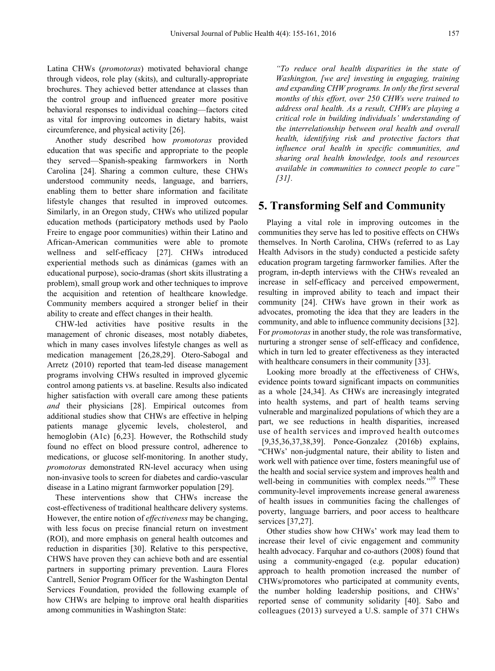Latina CHWs (*promotoras*) motivated behavioral change through videos, role play (skits), and culturally-appropriate brochures. They achieved better attendance at classes than the control group and influenced greater more positive behavioral responses to individual coaching—factors cited as vital for improving outcomes in dietary habits, waist circumference, and physical activity [26].

Another study described how *promotoras* provided education that was specific and appropriate to the people they served—Spanish-speaking farmworkers in North Carolina [24]. Sharing a common culture, these CHWs understood community needs, language, and barriers, enabling them to better share information and facilitate lifestyle changes that resulted in improved outcomes. Similarly, in an Oregon study, CHWs who utilized popular education methods (participatory methods used by Paolo Freire to engage poor communities) within their Latino and African-American communities were able to promote wellness and self-efficacy [27]. CHWs introduced experiential methods such as dinámicas (games with an educational purpose), socio-dramas (short skits illustrating a problem), small group work and other techniques to improve the acquisition and retention of healthcare knowledge. Community members acquired a stronger belief in their ability to create and effect changes in their health.

CHW-led activities have positive results in the management of chronic diseases, most notably diabetes, which in many cases involves lifestyle changes as well as medication management [26,28,29]. Otero-Sabogal and Arretz (2010) reported that team-led disease management programs involving CHWs resulted in improved glycemic control among patients vs. at baseline. Results also indicated higher satisfaction with overall care among these patients *and* their physicians [28]. Empirical outcomes from additional studies show that CHWs are effective in helping patients manage glycemic levels, cholesterol, and hemoglobin (A1c) [6,23]. However, the Rothschild study found no effect on blood pressure control, adherence to medications, or glucose self-monitoring. In another study, *promotoras* demonstrated RN-level accuracy when using non-invasive tools to screen for diabetes and cardio-vascular disease in a Latino migrant farmworker population [29].

These interventions show that CHWs increase the cost-effectiveness of traditional healthcare delivery systems. However, the entire notion of *effectiveness* may be changing, with less focus on precise financial return on investment (ROI), and more emphasis on general health outcomes and reduction in disparities [30]. Relative to this perspective, CHWS have proven they can achieve both and are essential partners in supporting primary prevention. Laura Flores Cantrell, Senior Program Officer for the Washington Dental Services Foundation, provided the following example of how CHWs are helping to improve oral health disparities among communities in Washington State:

*"To reduce oral health disparities in the state of Washington, [we are] investing in engaging, training and expanding CHW programs. In only the first several months of this effort, over 250 CHWs were trained to address oral health. As a result, CHWs are playing a critical role in building individuals' understanding of the interrelationship between oral health and overall health, identifying risk and protective factors that influence oral health in specific communities, and sharing oral health knowledge, tools and resources available in communities to connect people to care" [31].*

#### **5. Transforming Self and Community**

Playing a vital role in improving outcomes in the communities they serve has led to positive effects on CHWs themselves. In North Carolina, CHWs (referred to as Lay Health Advisors in the study) conducted a pesticide safety education program targeting farmworker families. After the program, in-depth interviews with the CHWs revealed an increase in self-efficacy and perceived empowerment, resulting in improved ability to teach and impact their community [24]. CHWs have grown in their work as advocates, promoting the idea that they are leaders in the community, and able to influence community decisions [32]. For *promotoras* in another study, the role was transformative, nurturing a stronger sense of self-efficacy and confidence, which in turn led to greater effectiveness as they interacted with healthcare consumers in their community [33].

Looking more broadly at the effectiveness of CHWs, evidence points toward significant impacts on communities as a whole [24,34]. As CHWs are increasingly integrated into health systems, and part of health teams serving vulnerable and marginalized populations of which they are a part, we see reductions in health disparities, increased use of health services and improved health outcomes [9,35,36,37,38,39]. Ponce-Gonzalez (2016b) explains, "CHWs' non-judgmental nature, their ability to listen and work well with patience over time, fosters meaningful use of the health and social service system and improves health and well-being in communities with complex needs."<sup>39</sup> These community-level improvements increase general awareness of health issues in communities facing the challenges of poverty, language barriers, and poor access to healthcare services [37,27].

Other studies show how CHWs' work may lead them to increase their level of civic engagement and community health advocacy. Farquhar and co-authors (2008) found that using a community-engaged (e.g. popular education) approach to health promotion increased the number of CHWs/promotores who participated at community events, the number holding leadership positions, and CHWs' reported sense of community solidarity [40]. Sabo and colleagues (2013) surveyed a U.S. sample of 371 CHWs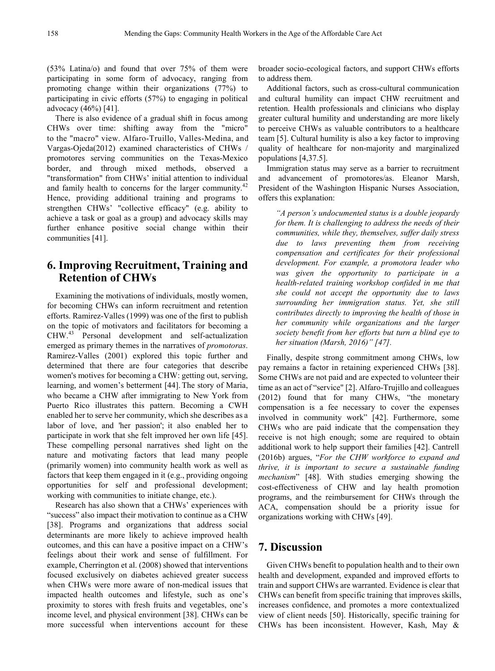(53% Latina/o) and found that over 75% of them were participating in some form of advocacy, ranging from promoting change within their organizations (77%) to participating in civic efforts (57%) to engaging in political advocacy (46%) [41].

There is also evidence of a gradual shift in focus among CHWs over time: shifting away from the "micro" to the "macro" view. Alfaro-Truillo, Valles-Medina, and Vargas-Ojeda(2012) examined characteristics of CHWs / promotores serving communities on the Texas-Mexico border, and through mixed methods, observed a "transformation" from CHWs' initial attention to individual and family health to concerns for the larger community. $42$ Hence, providing additional training and programs to strengthen CHWs' "collective efficacy" (e.g. ability to achieve a task or goal as a group) and advocacy skills may further enhance positive social change within their communities [41].

## **6. Improving Recruitment, Training and Retention of CHWs**

Examining the motivations of individuals, mostly women, for becoming CHWs can inform recruitment and retention efforts. Ramirez-Valles (1999) was one of the first to publish on the topic of motivators and facilitators for becoming a CHW.<sup>43</sup> Personal development and self-actualization emerged as primary themes in the narratives of *promotoras*. Ramirez-Valles (2001) explored this topic further and determined that there are four categories that describe women's motives for becoming a CHW: getting out, serving, learning, and women's betterment [44]. The story of Maria, who became a CHW after immigrating to New York from Puerto Rico illustrates this pattern. Becoming a CWH enabled her to serve her community, which she describes as a labor of love, and 'her passion'; it also enabled her to participate in work that she felt improved her own life [45]. These compelling personal narratives shed light on the nature and motivating factors that lead many people (primarily women) into community health work as well as factors that keep them engaged in it (e.g., providing ongoing opportunities for self and professional development; working with communities to initiate change, etc.).

Research has also shown that a CHWs' experiences with "success" also impact their motivation to continue as a CHW [38]. Programs and organizations that address social determinants are more likely to achieve improved health outcomes, and this can have a positive impact on a CHW's feelings about their work and sense of fulfillment. For example, Cherrington et al. (2008) showed that interventions focused exclusively on diabetes achieved greater success when CHWs were more aware of non-medical issues that impacted health outcomes and lifestyle, such as one's proximity to stores with fresh fruits and vegetables, one's income level, and physical environment [38]. CHWs can be more successful when interventions account for these

broader socio-ecological factors, and support CHWs efforts to address them.

Additional factors, such as cross-cultural communication and cultural humility can impact CHW recruitment and retention. Health professionals and clinicians who display greater cultural humility and understanding are more likely to perceive CHWs as valuable contributors to a healthcare team [5]. Cultural humility is also a key factor to improving quality of healthcare for non-majority and marginalized populations [4,37.5].

Immigration status may serve as a barrier to recruitment and advancement of promotores/as. Eleanor Marsh, President of the Washington Hispanic Nurses Association, offers this explanation:

*"A person's undocumented status is a double jeopardy for them. It is challenging to address the needs of their communities, while they, themselves, suffer daily stress due to laws preventing them from receiving compensation and certificates for their professional development. For example, a promotora leader who was given the opportunity to participate in a health-related training workshop confided in me that she could not accept the opportunity due to laws surrounding her immigration status. Yet, she still contributes directly to improving the health of those in her community while organizations and the larger society benefit from her efforts but turn a blind eye to her situation (Marsh, 2016)" [47].*

Finally, despite strong commitment among CHWs, low pay remains a factor in retaining experienced CHWs [38]. Some CHWs are not paid and are expected to volunteer their time as an act of "service" [2]. Alfaro-Trujillo and colleagues (2012) found that for many CHWs, "the monetary compensation is a fee necessary to cover the expenses involved in community work" [42]. Furthermore, some CHWs who are paid indicate that the compensation they receive is not high enough; some are required to obtain additional work to help support their families [42]. Cantrell (2016b) argues, "*For the CHW workforce to expand and thrive, it is important to secure a sustainable funding mechanism*" [48]. With studies emerging showing the cost-effectiveness of CHW and lay health promotion programs, and the reimbursement for CHWs through the ACA, compensation should be a priority issue for organizations working with CHWs [49].

# **7. Discussion**

Given CHWs benefit to population health and to their own health and development, expanded and improved efforts to train and support CHWs are warranted. Evidence is clear that CHWs can benefit from specific training that improves skills, increases confidence, and promotes a more contextualized view of client needs [50]. Historically, specific training for CHWs has been inconsistent. However, Kash, May &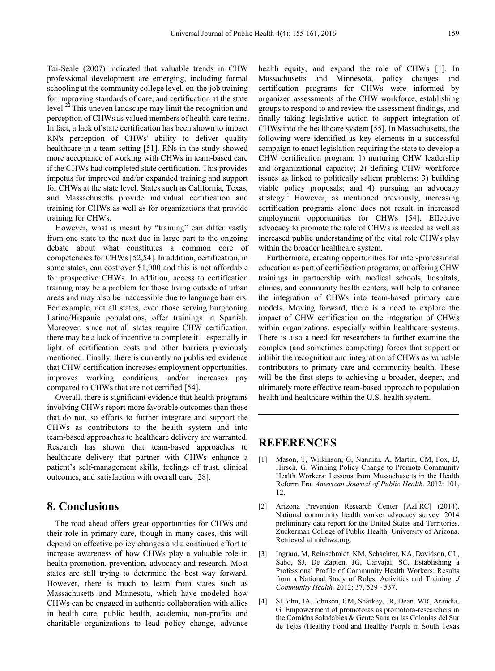Tai-Seale (2007) indicated that valuable trends in CHW professional development are emerging, including formal schooling at the community college level, on-the-job training for improving standards of care, and certification at the state level.22 This uneven landscape may limit the recognition and perception of CHWs as valued members of health-care teams. In fact, a lack of state certification has been shown to impact RN's perception of CHWs' ability to deliver quality healthcare in a team setting [51]. RNs in the study showed more acceptance of working with CHWs in team-based care if the CHWs had completed state certification. This provides impetus for improved and/or expanded training and support for CHWs at the state level. States such as California, Texas, and Massachusetts provide individual certification and training for CHWs as well as for organizations that provide training for CHWs.

However, what is meant by "training" can differ vastly from one state to the next due in large part to the ongoing debate about what constitutes a common core of competencies for CHWs [52,54]. In addition, certification, in some states, can cost over \$1,000 and this is not affordable for prospective CHWs. In addition, access to certification training may be a problem for those living outside of urban areas and may also be inaccessible due to language barriers. For example, not all states, even those serving burgeoning Latino/Hispanic populations, offer trainings in Spanish. Moreover, since not all states require CHW certification, there may be a lack of incentive to complete it—especially in light of certification costs and other barriers previously mentioned. Finally, there is currently no published evidence that CHW certification increases employment opportunities, improves working conditions, and/or increases pay compared to CHWs that are not certified [54].

Overall, there is significant evidence that health programs involving CHWs report more favorable outcomes than those that do not, so efforts to further integrate and support the CHWs as contributors to the health system and into team-based approaches to healthcare delivery are warranted. Research has shown that team-based approaches to healthcare delivery that partner with CHWs enhance a patient's self-management skills, feelings of trust, clinical outcomes, and satisfaction with overall care [28].

## **8. Conclusions**

The road ahead offers great opportunities for CHWs and their role in primary care, though in many cases, this will depend on effective policy changes and a continued effort to increase awareness of how CHWs play a valuable role in health promotion, prevention, advocacy and research. Most states are still trying to determine the best way forward. However, there is much to learn from states such as Massachusetts and Minnesota, which have modeled how CHWs can be engaged in authentic collaboration with allies in health care, public health, academia, non-profits and charitable organizations to lead policy change, advance

health equity, and expand the role of CHWs [1]. In Massachusetts and Minnesota, policy changes and certification programs for CHWs were informed by organized assessments of the CHW workforce, establishing groups to respond to and review the assessment findings, and finally taking legislative action to support integration of CHWs into the healthcare system [55]. In Massachusetts, the following were identified as key elements in a successful campaign to enact legislation requiring the state to develop a CHW certification program: 1) nurturing CHW leadership and organizational capacity; 2) defining CHW workforce issues as linked to politically salient problems; 3) building viable policy proposals; and 4) pursuing an advocacy strategy.<sup>1</sup> However, as mentioned previously, increasing certification programs alone does not result in increased employment opportunities for CHWs [54]. Effective advocacy to promote the role of CHWs is needed as well as increased public understanding of the vital role CHWs play within the broader healthcare system.

Furthermore, creating opportunities for inter-professional education as part of certification programs, or offering CHW trainings in partnership with medical schools, hospitals, clinics, and community health centers, will help to enhance the integration of CHWs into team-based primary care models. Moving forward, there is a need to explore the impact of CHW certification on the integration of CHWs within organizations, especially within healthcare systems. There is also a need for researchers to further examine the complex (and sometimes competing) forces that support or inhibit the recognition and integration of CHWs as valuable contributors to primary care and community health. These will be the first steps to achieving a broader, deeper, and ultimately more effective team-based approach to population health and healthcare within the U.S. health system.

#### **REFERENCES**

- [1] Mason, T, Wilkinson, G, Nannini, A, Martin, CM, Fox, D, Hirsch, G. Winning Policy Change to Promote Community Health Workers: Lessons from Massachusetts in the Health Reform Era. *American Journal of Public Health.* 2012: 101, 12.
- [2] Arizona Prevention Research Center [AzPRC] (2014). National community health worker advocacy survey: 2014 preliminary data report for the United States and Territories. Zuckerman College of Public Health. University of Arizona. Retrieved at michwa.org.
- [3] Ingram, M, Reinschmidt, KM, Schachter, KA, Davidson, CL, Sabo, SJ, De Zapien, JG, Carvajal, SC. Establishing a Professional Profile of Community Health Workers: Results from a National Study of Roles, Activities and Training. *J Community Health.* 2012; 37, 529 - 537.
- [4] St John, JA, Johnson, CM, Sharkey, JR, Dean, WR, Arandia, G. Empowerment of promotoras as promotora-researchers in the Comidas Saludables & Gente Sana en las Colonias del Sur de Tejas (Healthy Food and Healthy People in South Texas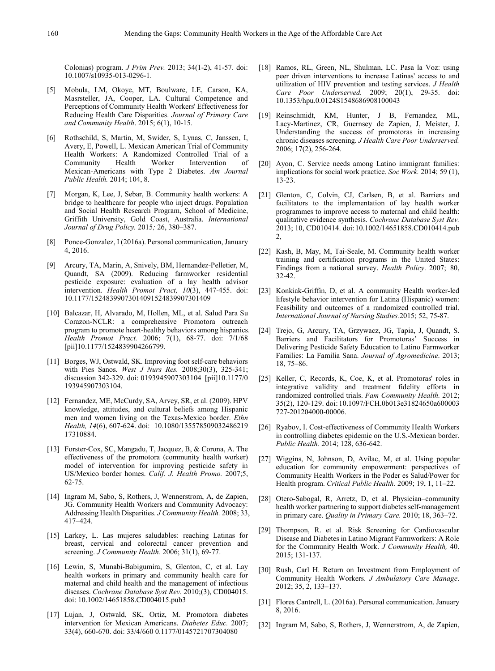Colonias) program. *J Prim Prev.* 2013; 34(1-2), 41-57. doi: 10.1007/s10935-013-0296-1.

- [5] Mobula, LM, Okoye, MT, Boulware, LE, Carson, KA, Masrsteller, JA, Cooper, LA. Cultural Competence and Perceptions of Community Health Workers' Effectiveness for Reducing Health Care Disparities. *Journal of Primary Care and Community Health*. 2015; 6(1), 10-15.
- [6] Rothschild, S, Martin, M, Swider, S, Lynas, C, Janssen, I, Avery, E, Powell, L. Mexican American Trial of Community Health Workers: A Randomized Controlled Trial of a Intervention of Mexican-Americans with Type 2 Diabetes. *Am Journal Public Health.* 2014; 104, 8.
- [7] Morgan, K, Lee, J, Sebar, B. Community health workers: A bridge to healthcare for people who inject drugs. Population and Social Health Research Program, School of Medicine, Griffith University, Gold Coast, Australia. *International Journal of Drug Policy.* 2015*;* 26, 380–387.
- [8] Ponce-Gonzalez, I (2016a). Personal communication, January 4, 2016.
- [9] Arcury, TA, Marin, A, Snively, BM, Hernandez-Pelletier, M, Quandt, SA (2009). Reducing farmworker residential pesticide exposure: evaluation of a lay health advisor intervention. *Health Promot Pract, 10*(3), 447-455. doi: 10.1177/15248399073014091524839907301409
- [10] Balcazar, H, Alvarado, M, Hollen, ML, et al. Salud Para Su Corazon-NCLR: a comprehensive Promotora outreach program to promote heart-healthy behaviors among hispanics. *Health Promot Pract.* 2006; 7(1), 68-77. doi: 7/1/68 [pii]10.1177/1524839904266799.
- [11] Borges, WJ, Ostwald, SK. Improving foot self-care behaviors with Pies Sanos. *West J Nurs Res.* 2008;30(3), 325-341; discussion 342-329. doi: 0193945907303104 [pii]10.1177/0 193945907303104.
- [12] Fernandez, ME, McCurdy, SA, Arvey, SR, et al. (2009). HPV knowledge, attitudes, and cultural beliefs among Hispanic men and women living on the Texas-Mexico border. *Ethn Health, 14*(6), 607-624. doi: 10.1080/135578509032486219 17310884.
- [13] Forster-Cox, SC, Mangadu, T, Jacquez, B, & Corona, A. The effectiveness of the promotora (community health worker) model of intervention for improving pesticide safety in US/Mexico border homes. *Calif. J. Health Promo.* 2007;5, 62-75.
- [14] Ingram M, Sabo, S, Rothers, J, Wennerstrom, A, de Zapien, JG. Community Health Workers and Community Advocacy: Addressing Health Disparities. *J Community Health.* 2008; 33, 417–424.
- [15] Larkey, L. Las mujeres saludables: reaching Latinas for breast, cervical and colorectal cancer prevention and screening. *J Community Health.* 2006; 31(1), 69-77.
- [16] Lewin, S, Munabi-Babigumira, S, Glenton, C, et al. Lay health workers in primary and community health care for maternal and child health and the management of infectious diseases. *Cochrane Database Syst Rev.* 2010;(3), CD004015. doi: 10.1002/14651858.CD004015.pub3
- [17] Lujan, J, Ostwald, SK, Ortiz, M. Promotora diabetes intervention for Mexican Americans. *Diabetes Educ.* 2007; 33(4), 660-670. doi: 33/4/660 0.1177/0145721707304080
- [18] Ramos, RL, Green, NL, Shulman, LC. Pasa la Voz: using peer driven interventions to increase Latinas' access to and utilization of HIV prevention and testing services. *J Health Care Poor Underserved.* 2009; 20(1), 29-35. doi: 10.1353/hpu.0.0124S1548686908100043
- [19] Reinschmidt, KM, Hunter, J B, Fernandez, ML, Lacy-Martinez, CR, Guernsey de Zapien, J, Meister, J. Understanding the success of promotoras in increasing chronic diseases screening. *J Health Care Poor Underserved.*  2006; 17(2), 256-264.
- [20] Ayon, C. Service needs among Latino immigrant families: implications for social work practice. *Soc Work.* 2014; 59 (1), 13-23.
- [21] Glenton, C, Colvin, CJ, Carlsen, B, et al. Barriers and facilitators to the implementation of lay health worker programmes to improve access to maternal and child health: qualitative evidence synthesis. *Cochrane Database Syst Rev.*  2013; 10, CD010414. doi:10.1002/14651858.CD010414.pub 2,
- [22] Kash, B, May, M, Tai-Seale, M. Community health worker training and certification programs in the United States: Findings from a national survey. *Health Policy*. 2007; 80, 32-42.
- [23] Konkiak-Griffin, D, et al. A community Health worker-led lifestyle behavior intervention for Latina (Hispanic) women: Feasibility and outcomes of a randomized controlled trial. *International Journal of Nursing Studies.*2015; 52, 75-87.
- [24] Trejo, G, Arcury, TA, Grzywacz, JG, Tapia, J, Quandt, S. Barriers and Facilitators for Promotoras' Success in Delivering Pesticide Safety Education to Latino Farmworker Families: La Familia Sana. *Journal of Agromedicine*. 2013; 18, 75–86.
- [25] Keller, C, Records, K, Coe, K, et al. Promotoras' roles in integrative validity and treatment fidelity efforts in randomized controlled trials. *Fam Community Health.* 2012; 35(2), 120-129. doi: 10.1097/FCH.0b013e31824650a600003 727-201204000-00006.
- [26] Ryabov, I. Cost-effectiveness of Community Health Workers in controlling diabetes epidemic on the U.S.-Mexican border. *Public Health.* 2014; 128, 636-642.
- [27] Wiggins, N, Johnson, D, Avilac, M, et al. Using popular education for community empowerment: perspectives of Community Health Workers in the Poder es Salud/Power for Health program. *Critical Public Health.* 2009; 19, 1, 11–22.
- [28] Otero-Sabogal, R, Arretz, D, et al. Physician–community health worker partnering to support diabetes self-management in primary care. *Quality in Primary Care.* 2010; 18, 363–72.
- [29] Thompson, R. et al. Risk Screening for Cardiovascular Disease and Diabetes in Latino Migrant Farmworkers: A Role for the Community Health Work. *J Community Health,* 40. 2015; 131-137.
- [30] Rush, Carl H. Return on Investment from Employment of Community Health Workers. *J Ambulatory Care Manage*. 2012; 35, 2, 133–137.
- [31] Flores Cantrell, L. (2016a). Personal communication. January 8, 2016.
- [32] Ingram M, Sabo, S, Rothers, J, Wennerstrom, A, de Zapien,